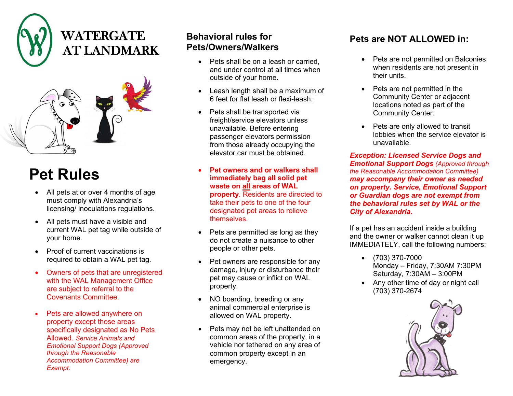



## **Pet Rules**

- All pets at or over 4 months of age must comply with Alexandria's licensing/ inoculations regulations.
- All pets must have a visible and current WAL pet tag while outside of your home.
- Proof of current vaccinations is required to obtain a WAL pet tag.
- Owners of pets that are unregistered with the WAL Management Office are subject to referral to the Covenants Committee.
- Pets are allowed anywhere on property except those areas specifically designated as No Pets Allowed. *Service Animals and Emotional Support Dogs (Approved through the Reasonable Accommodation Committee) are Exempt.*

## **Behavioral rules for Pets/Owners/Walkers**

- Pets shall be on a leash or carried. and under control at all times when outside of your home.
- Leash length shall be a maximum of 6 feet for flat leash or flexi-leash.
- Pets shall be transported via freight/service elevators unless unavailable. Before entering passenger elevators permission from those already occupying the elevator car must be obtained.
- **Pet owners and or walkers shall immediately bag all solid pet waste on all areas of WAL property**. Residents are directed to take their pets to one of the four designated pet areas to relieve themselves.
- Pets are permitted as long as they do not create a nuisance to other people or other pets.
- Pet owners are responsible for any damage, injury or disturbance their pet may cause or inflict on WAL property.
- NO boarding, breeding or any animal commercial enterprise is allowed on WAL property.
- Pets may not be left unattended on common areas of the property, in a vehicle nor tethered on any area of common property except in an emergency.

## **Pets are NOT ALLOWED in:**

- Pets are not permitted on Balconies when residents are not present in their units.
- Pets are not permitted in the Community Center or adjacent locations noted as part of the Community Center.
- Pets are only allowed to transit lobbies when the service elevator is unavailable.

*Exception: Licensed Service Dogs and Emotional Support Dogs (Approved through the Reasonable Accommodation Committee) may accompany their owner as needed on property. Service, Emotional Support or Guardian dogs are not exempt from the behavioral rules set by WAL or the City of Alexandria.*

If a pet has an accident inside a building and the owner or walker cannot clean it up IMMEDIATELY, call the following numbers:

- (703) 370-7000 Monday – Friday, 7:30AM 7:30PM Saturday, 7:30AM – 3:00PM
- Any other time of day or night call (703) 370-2674